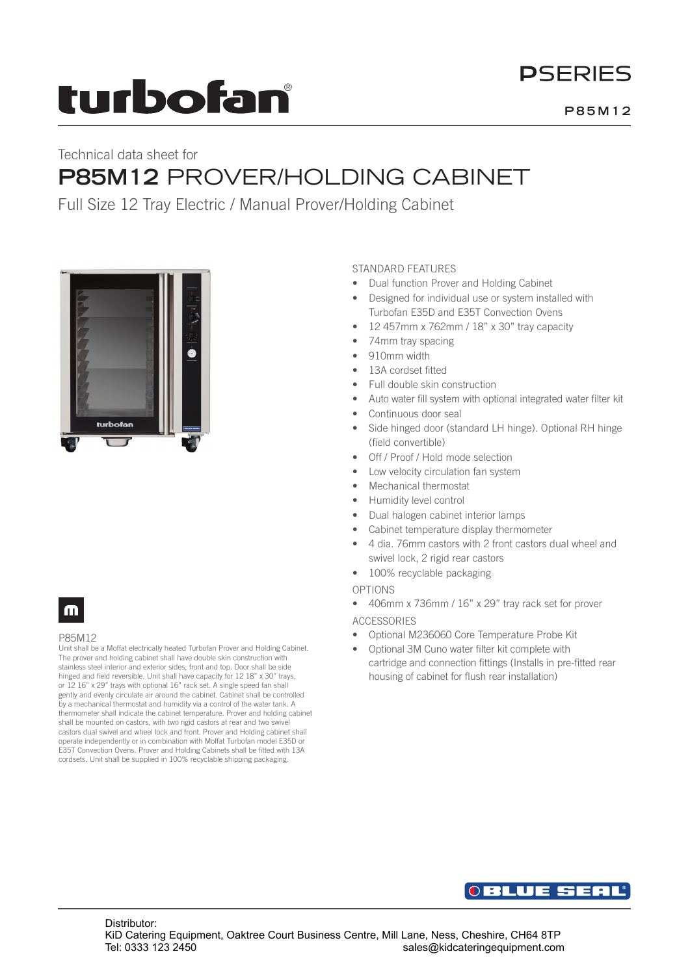# turbofan

## **PSERIES**

## Technical data sheet for **P85M12** PROVER/HOLDING CABINET

Full Size 12 Tray Electric / Manual Prover/Holding Cabinet



### m

### P85M12

Unit shall be a Moffat electrically heated Turbofan Prover and Holding Cabinet. The prover and holding cabinet shall have double skin construction with stainless steel interior and exterior sides, front and top. Door shall be side hinged and field reversible. Unit shall have capacity for 12 18" x 30" trays, or 12 16" x 29" trays with optional 16" rack set. A single speed fan shall gently and evenly circulate air around the cabinet. Cabinet shall be controlled by a mechanical thermostat and humidity via a control of the water tank. A thermometer shall indicate the cabinet temperature. Prover and holding cabinet shall be mounted on castors, with two rigid castors at rear and two swivel castors dual swivel and wheel lock and front. Prover and Holding cabinet shall operate independently or in combination with Moffat Turbofan model E35D or E35T Convection Ovens. Prover and Holding Cabinets shall be fitted with 13A cordsets. Unit shall be supplied in 100% recyclable shipping packaging.

### STANDARD FEATURES

- Dual function Prover and Holding Cabinet
- Designed for individual use or system installed with Turbofan E35D and E35T Convection Ovens
- 12 457mm x 762mm / 18" x 30" tray capacity
- 74mm tray spacing
- 910mm width
- 13A cordset fitted
- Full double skin construction
- Auto water fill system with optional integrated water filter kit
- Continuous door seal
- Side hinged door (standard LH hinge). Optional RH hinge (field convertible)
- Off / Proof / Hold mode selection
- Low velocity circulation fan system
- Mechanical thermostat
- Humidity level control
- Dual halogen cabinet interior lamps
- Cabinet temperature display thermometer
- 4 dia. 76mm castors with 2 front castors dual wheel and swivel lock, 2 rigid rear castors
- 100% recyclable packaging
- OPTIONS
- 406mm x 736mm / 16" x 29" tray rack set for prover

### ACCESSORIES

- Optional M236060 Core Temperature Probe Kit
- Optional 3M Cuno water filter kit complete with cartridge and connection fittings (Installs in pre-fitted rear housing of cabinet for flush rear installation)